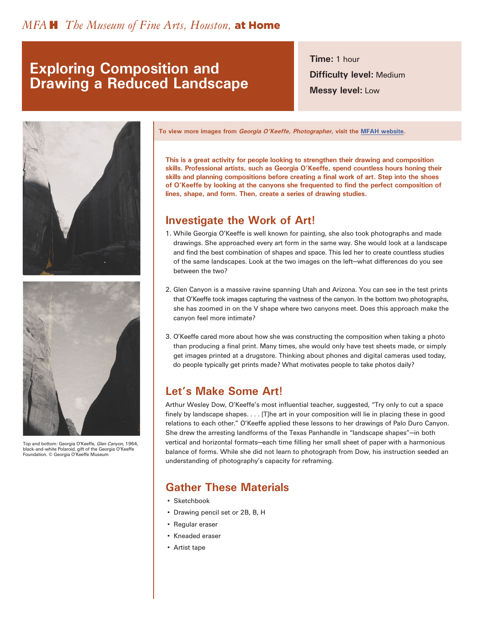## **Exploring Composition and Drawing a Reduced Landscape**

**Time:** 1 hour **Difficulty level:** Medium **Messy level:** Low





Top and bottom: Georgia O'Keeffe, Glen Canyon, 1964, black-and-white Polaroid, gift of the Georgia O'Keeffe Foundation. © Georgia O'Keeffe Museum

**To view more images from Georgia O'Keeffe, Photographer, visit the [MFAH website](https://www.mfah.org/exhibitions/georgia-okeeffe-photographer).**

**This is a great activity for people looking to strengthen their drawing and composition skills. Professional artists, such as Georgia O'Keeffe, spend countless hours honing their skills and planning compositions before creating a final work of art. Step into the shoes of O'Keeffe by looking at the canyons she frequented to find the perfect composition of lines, shape, and form. Then, create a series of drawing studies.**

### **Investigate the Work of Art!**

- 1. While Georgia O'Keeffe is well known for painting, she also took photographs and made drawings. She approached every art form in the same way. She would look at a landscape and find the best combination of shapes and space. This led her to create countless studies of the same landscapes. Look at the two images on the left—what differences do you see between the two?
- 2. Glen Canyon is a massive ravine spanning Utah and Arizona. You can see in the test prints that O'Keeffe took images capturing the vastness of the canyon. In the bottom two photographs, she has zoomed in on the V shape where two canyons meet. Does this approach make the canyon feel more intimate?
- 3. O'Keeffe cared more about how she was constructing the composition when taking a photo than producing a final print. Many times, she would only have test sheets made, or simply get images printed at a drugstore. Thinking about phones and digital cameras used today, do people typically get prints made? What motivates people to take photos daily?

## **Let's Make Some Art!**

Arthur Wesley Dow, O'Keeffe's most influential teacher, suggested, "Try only to cut a space finely by landscape shapes. . . . [T]he art in your composition will lie in placing these in good relations to each other." O'Keeffe applied these lessons to her drawings of Palo Duro Canyon. She drew the arresting landforms of the Texas Panhandle in "landscape shapes"—in both vertical and horizontal formats—each time filling her small sheet of paper with a harmonious balance of forms. While she did not learn to photograph from Dow, his instruction seeded an understanding of photography's capacity for reframing.

## **Gather These Materials**

- Sketchbook
- Drawing pencil set or 2B, B, H
- Regular eraser
- Kneaded eraser
- Artist tape